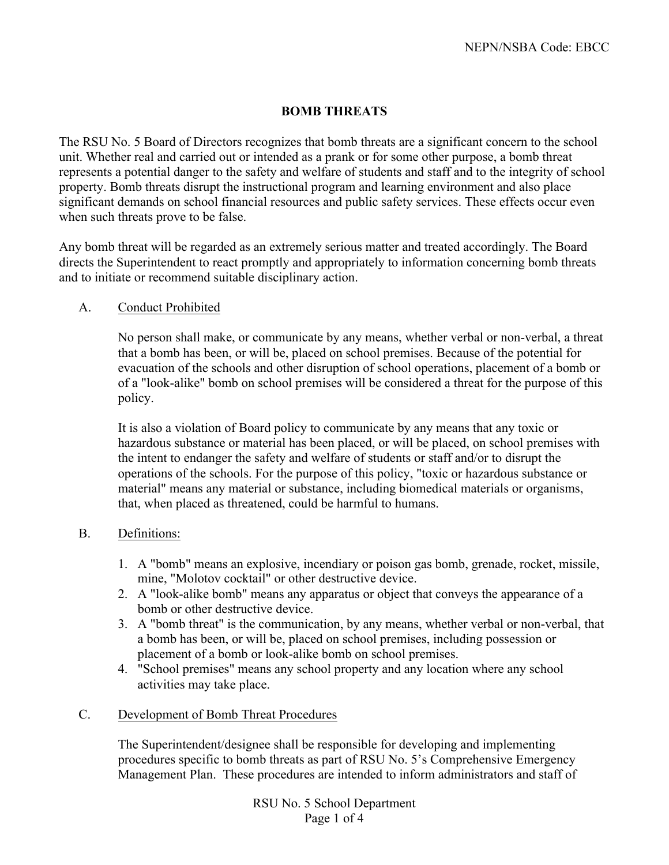# **BOMB THREATS**

The RSU No. 5 Board of Directors recognizes that bomb threats are a significant concern to the school unit. Whether real and carried out or intended as a prank or for some other purpose, a bomb threat represents a potential danger to the safety and welfare of students and staff and to the integrity of school property. Bomb threats disrupt the instructional program and learning environment and also place significant demands on school financial resources and public safety services. These effects occur even when such threats prove to be false.

Any bomb threat will be regarded as an extremely serious matter and treated accordingly. The Board directs the Superintendent to react promptly and appropriately to information concerning bomb threats and to initiate or recommend suitable disciplinary action.

# A. Conduct Prohibited

No person shall make, or communicate by any means, whether verbal or non-verbal, a threat that a bomb has been, or will be, placed on school premises. Because of the potential for evacuation of the schools and other disruption of school operations, placement of a bomb or of a "look-alike" bomb on school premises will be considered a threat for the purpose of this policy.

It is also a violation of Board policy to communicate by any means that any toxic or hazardous substance or material has been placed, or will be placed, on school premises with the intent to endanger the safety and welfare of students or staff and/or to disrupt the operations of the schools. For the purpose of this policy, "toxic or hazardous substance or material" means any material or substance, including biomedical materials or organisms, that, when placed as threatened, could be harmful to humans.

# B. Definitions:

- 1. A "bomb" means an explosive, incendiary or poison gas bomb, grenade, rocket, missile, mine, "Molotov cocktail" or other destructive device.
- 2. A "look-alike bomb" means any apparatus or object that conveys the appearance of a bomb or other destructive device.
- 3. A "bomb threat" is the communication, by any means, whether verbal or non-verbal, that a bomb has been, or will be, placed on school premises, including possession or placement of a bomb or look-alike bomb on school premises.
- 4. "School premises" means any school property and any location where any school activities may take place.

# C. Development of Bomb Threat Procedures

The Superintendent/designee shall be responsible for developing and implementing procedures specific to bomb threats as part of RSU No. 5's Comprehensive Emergency Management Plan. These procedures are intended to inform administrators and staff of

> RSU No. 5 School Department Page 1 of 4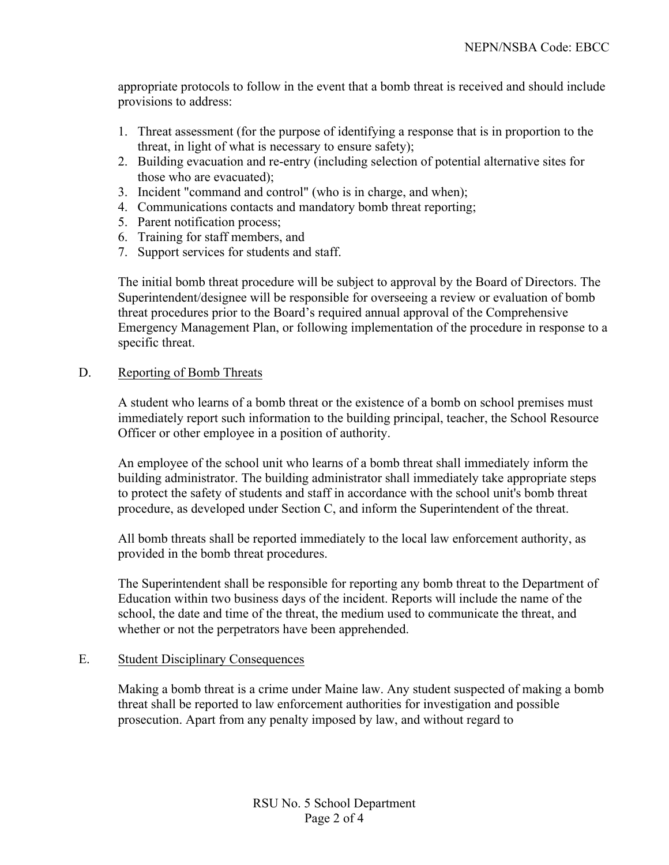appropriate protocols to follow in the event that a bomb threat is received and should include provisions to address:

- 1. Threat assessment (for the purpose of identifying a response that is in proportion to the threat, in light of what is necessary to ensure safety);
- 2. Building evacuation and re-entry (including selection of potential alternative sites for those who are evacuated);
- 3. Incident "command and control" (who is in charge, and when);
- 4. Communications contacts and mandatory bomb threat reporting;
- 5. Parent notification process;
- 6. Training for staff members, and
- 7. Support services for students and staff.

The initial bomb threat procedure will be subject to approval by the Board of Directors. The Superintendent/designee will be responsible for overseeing a review or evaluation of bomb threat procedures prior to the Board's required annual approval of the Comprehensive Emergency Management Plan, or following implementation of the procedure in response to a specific threat.

### D. Reporting of Bomb Threats

A student who learns of a bomb threat or the existence of a bomb on school premises must immediately report such information to the building principal, teacher, the School Resource Officer or other employee in a position of authority.

An employee of the school unit who learns of a bomb threat shall immediately inform the building administrator. The building administrator shall immediately take appropriate steps to protect the safety of students and staff in accordance with the school unit's bomb threat procedure, as developed under Section C, and inform the Superintendent of the threat.

All bomb threats shall be reported immediately to the local law enforcement authority, as provided in the bomb threat procedures.

The Superintendent shall be responsible for reporting any bomb threat to the Department of Education within two business days of the incident. Reports will include the name of the school, the date and time of the threat, the medium used to communicate the threat, and whether or not the perpetrators have been apprehended.

### E. Student Disciplinary Consequences

Making a bomb threat is a crime under Maine law. Any student suspected of making a bomb threat shall be reported to law enforcement authorities for investigation and possible prosecution. Apart from any penalty imposed by law, and without regard to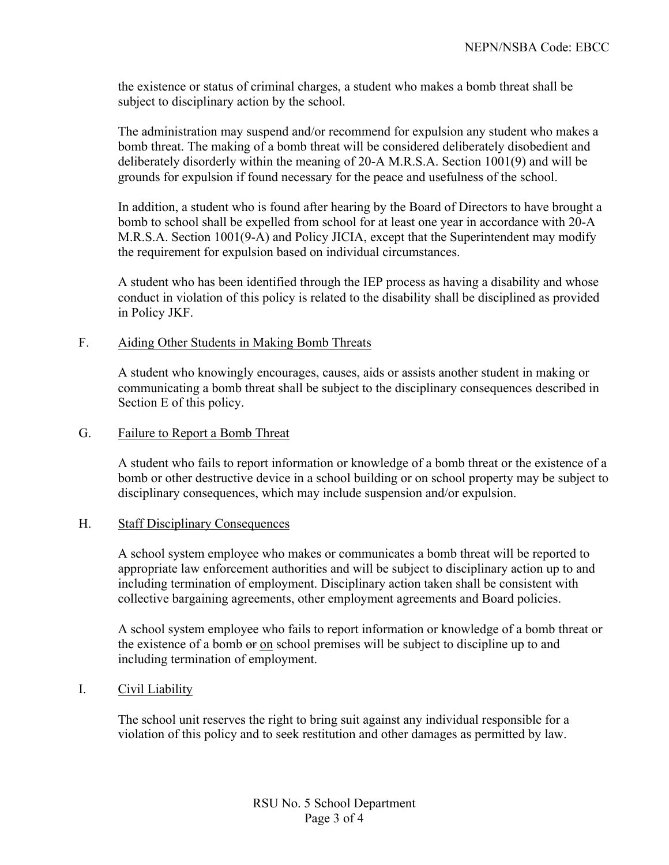the existence or status of criminal charges, a student who makes a bomb threat shall be subject to disciplinary action by the school.

The administration may suspend and/or recommend for expulsion any student who makes a bomb threat. The making of a bomb threat will be considered deliberately disobedient and deliberately disorderly within the meaning of 20-A M.R.S.A. Section 1001(9) and will be grounds for expulsion if found necessary for the peace and usefulness of the school.

In addition, a student who is found after hearing by the Board of Directors to have brought a bomb to school shall be expelled from school for at least one year in accordance with 20-A M.R.S.A. Section 1001(9-A) and Policy JICIA, except that the Superintendent may modify the requirement for expulsion based on individual circumstances.

A student who has been identified through the IEP process as having a disability and whose conduct in violation of this policy is related to the disability shall be disciplined as provided in Policy JKF.

### F. Aiding Other Students in Making Bomb Threats

A student who knowingly encourages, causes, aids or assists another student in making or communicating a bomb threat shall be subject to the disciplinary consequences described in Section E of this policy.

#### G. Failure to Report a Bomb Threat

A student who fails to report information or knowledge of a bomb threat or the existence of a bomb or other destructive device in a school building or on school property may be subject to disciplinary consequences, which may include suspension and/or expulsion.

#### H. Staff Disciplinary Consequences

A school system employee who makes or communicates a bomb threat will be reported to appropriate law enforcement authorities and will be subject to disciplinary action up to and including termination of employment. Disciplinary action taken shall be consistent with collective bargaining agreements, other employment agreements and Board policies.

A school system employee who fails to report information or knowledge of a bomb threat or the existence of a bomb or on school premises will be subject to discipline up to and including termination of employment.

### I. Civil Liability

The school unit reserves the right to bring suit against any individual responsible for a violation of this policy and to seek restitution and other damages as permitted by law.